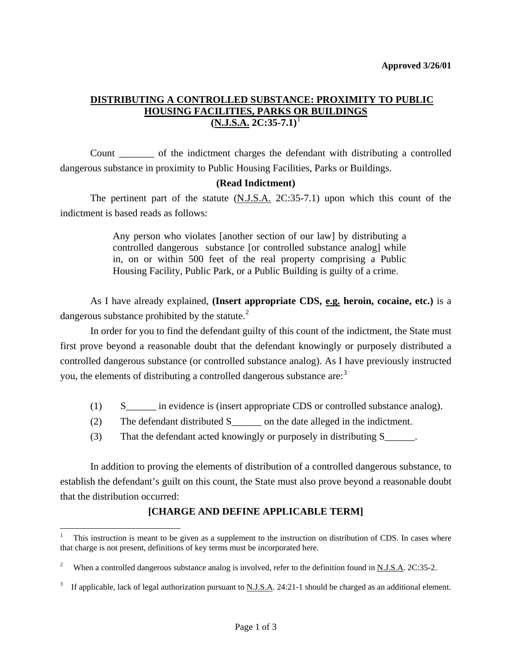# **DISTRIBUTING A CONTROLLED SUBSTANCE: PROXIMITY TO PUBLIC HOUSING FACILITIES, PARKS OR BUILDINGS (N.J.S.A. 2C:35-7.1)**[1](#page-1-0)

 Count \_\_\_\_\_\_\_ of the indictment charges the defendant with distributing a controlled dangerous substance in proximity to Public Housing Facilities, Parks or Buildings.

# **(Read Indictment)**

 The pertinent part of the statute (N.J.S.A. 2C:35-7.1) upon which this count of the indictment is based reads as follows:

> Any person who violates [another section of our law] by distributing a controlled dangerous substance [or controlled substance analog] while in, on or within 500 feet of the real property comprising a Public Housing Facility, Public Park, or a Public Building is guilty of a crime.

 As I have already explained, **(Insert appropriate CDS, e.g. heroin, cocaine, etc.)** is a dangerous substance prohibited by the statute.<sup>[2](#page-0-0)</sup>

 In order for you to find the defendant guilty of this count of the indictment, the State must first prove beyond a reasonable doubt that the defendant knowingly or purposely distributed a controlled dangerous substance (or controlled substance analog). As I have previously instructed you, the elements of distributing a controlled dangerous substance are:[3](#page-0-1)

- (1) S in evidence is (insert appropriate CDS or controlled substance analog).
- (2) The defendant distributed S\_\_\_\_\_\_ on the date alleged in the indictment.
- (3) That the defendant acted knowingly or purposely in distributing S\_\_\_\_\_\_.

 In addition to proving the elements of distribution of a controlled dangerous substance, to establish the defendant's guilt on this count, the State must also prove beyond a reasonable doubt that the distribution occurred:

# **[CHARGE AND DEFINE APPLICABLE TERM]**

<u>.</u>

<sup>1</sup> This instruction is meant to be given as a supplement to the instruction on distribution of CDS. In cases where that charge is not present, definitions of key terms must be incorporated here.

<span id="page-0-0"></span><sup>2</sup> When a controlled dangerous substance analog is involved, refer to the definition found in N.J.S.A. 2C:35-2.

<span id="page-0-1"></span><sup>3</sup> If applicable, lack of legal authorization pursuant to N.J.S.A. 24:21-1 should be charged as an additional element.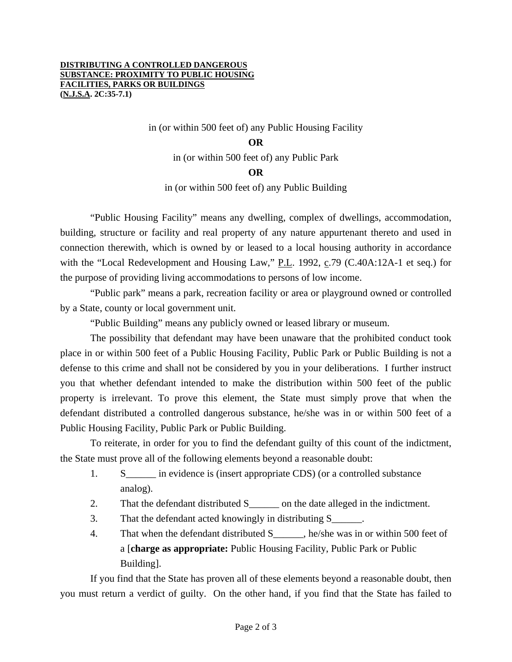#### **DISTRIBUTING A CONTROLLED DANGEROUS SUBSTANCE: PROXIMITY TO PUBLIC HOUSING FACILITIES, PARKS OR BUILDINGS (N.J.S.A. 2C:35-7.1)**

in (or within 500 feet of) any Public Housing Facility

### **OR**

in (or within 500 feet of) any Public Park

## **OR**

in (or within 500 feet of) any Public Building

"Public Housing Facility" means any dwelling, complex of dwellings, accommodation, building, structure or facility and real property of any nature appurtenant thereto and used in connection therewith, which is owned by or leased to a local housing authority in accordance with the "Local Redevelopment and Housing Law," P.L. 1992, c.79 (C.40A:12A-1 et seq.) for the purpose of providing living accommodations to persons of low income.

 "Public park" means a park, recreation facility or area or playground owned or controlled by a State, county or local government unit.

"Public Building" means any publicly owned or leased library or museum.

 The possibility that defendant may have been unaware that the prohibited conduct took place in or within 500 feet of a Public Housing Facility, Public Park or Public Building is not a defense to this crime and shall not be considered by you in your deliberations. I further instruct you that whether defendant intended to make the distribution within 500 feet of the public property is irrelevant. To prove this element, the State must simply prove that when the defendant distributed a controlled dangerous substance, he/she was in or within 500 feet of a Public Housing Facility, Public Park or Public Building.

 To reiterate, in order for you to find the defendant guilty of this count of the indictment, the State must prove all of the following elements beyond a reasonable doubt:

- 1. S\_\_\_\_\_\_ in evidence is (insert appropriate CDS) (or a controlled substance analog).
- 2. That the defendant distributed S<sub>\_\_\_\_\_</sub> on the date alleged in the indictment.
- 3. That the defendant acted knowingly in distributing S\_\_\_\_\_\_.
- 4. That when the defendant distributed S<sub>2</sub>, he/she was in or within 500 feet of a [**charge as appropriate:** Public Housing Facility, Public Park or Public Building].

<span id="page-1-0"></span> If you find that the State has proven all of these elements beyond a reasonable doubt, then you must return a verdict of guilty. On the other hand, if you find that the State has failed to